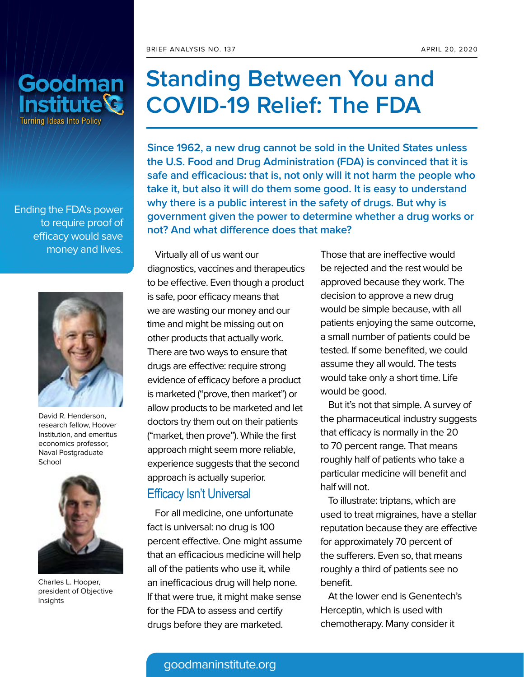

Ending the FDA's power to require proof of efficacy would save money and lives.



David R. Henderson, research fellow, Hoover Institution, and emeritus economics professor, Naval Postgraduate School



Charles L. Hooper, president of Objective Insights

# **Standing Between You and COVID-19 Relief: The FDA**

**Since 1962, a new drug cannot be sold in the United States unless the U.S. Food and Drug Administration (FDA) is convinced that it is safe and efficacious: that is, not only will it not harm the people who take it, but also it will do them some good. It is easy to understand why there is a public interest in the safety of drugs. But why is government given the power to determine whether a drug works or not? And what difference does that make?**

Virtually all of us want our diagnostics, vaccines and therapeutics to be effective. Even though a product is safe, poor efficacy means that we are wasting our money and our time and might be missing out on other products that actually work. There are two ways to ensure that drugs are effective: require strong evidence of efficacy before a product is marketed ("prove, then market") or allow products to be marketed and let doctors try them out on their patients ("market, then prove"). While the first approach might seem more reliable, experience suggests that the second approach is actually superior.

# Efficacy Isn't Universal

For all medicine, one unfortunate fact is universal: no drug is 100 percent effective. One might assume that an efficacious medicine will help all of the patients who use it, while an inefficacious drug will help none. If that were true, it might make sense for the FDA to assess and certify drugs before they are marketed.

Those that are ineffective would be rejected and the rest would be approved because they work. The decision to approve a new drug would be simple because, with all patients enjoying the same outcome, a small number of patients could be tested. If some benefited, we could assume they all would. The tests would take only a short time. Life would be good.

But it's not that simple. A survey of the pharmaceutical industry suggests that efficacy is normally in the 20 to 70 percent range. That means roughly half of patients who take a particular medicine will benefit and half will not.

To illustrate: triptans, which are used to treat migraines, have a stellar reputation because they are effective for approximately 70 percent of the sufferers. Even so, that means roughly a third of patients see no benefit.

At the lower end is Genentech's Herceptin, which is used with chemotherapy. Many consider it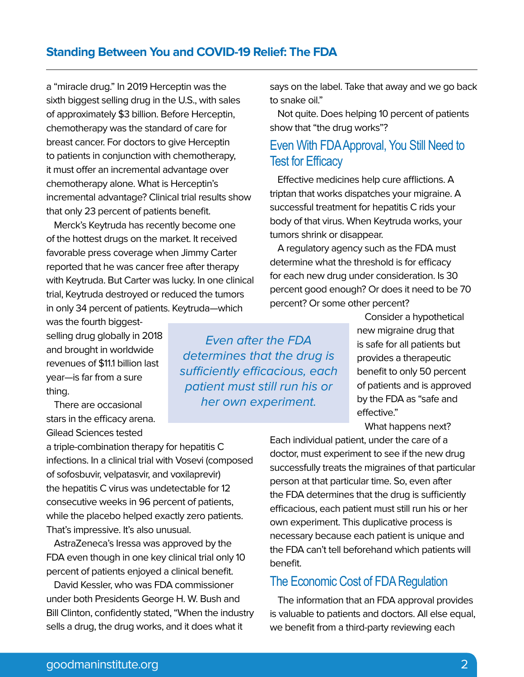### **Standing Between You and COVID-19 Relief: The FDA**

a "miracle drug." In 2019 Herceptin was the sixth biggest selling drug in the U.S., with sales of approximately \$3 billion. Before Herceptin, chemotherapy was the standard of care for breast cancer. For doctors to give Herceptin to patients in conjunction with chemotherapy, it must offer an incremental advantage over chemotherapy alone. What is Herceptin's incremental advantage? Clinical trial results show that only 23 percent of patients benefit.

Merck's Keytruda has recently become one of the hottest drugs on the market. It received favorable press coverage when Jimmy Carter reported that he was cancer free after therapy with Keytruda. But Carter was lucky. In one clinical trial, Keytruda destroyed or reduced the tumors in only 34 percent of patients. Keytruda—which

was the fourth biggestselling drug globally in 2018 and brought in worldwide revenues of \$11.1 billion last year—is far from a sure thing.

There are occasional stars in the efficacy arena. Gilead Sciences tested

a triple-combination therapy for hepatitis C infections. In a clinical trial with Vosevi (composed of sofosbuvir, velpatasvir, and voxilaprevir) the hepatitis C virus was undetectable for 12 consecutive weeks in 96 percent of patients, while the placebo helped exactly zero patients. That's impressive. It's also unusual.

AstraZeneca's Iressa was approved by the FDA even though in one key clinical trial only 10 percent of patients enjoyed a clinical benefit.

David Kessler, who was FDA commissioner under both Presidents George H. W. Bush and Bill Clinton, confidently stated, "When the industry sells a drug, the drug works, and it does what it

Even after the FDA determines that the drug is sufficiently efficacious, each patient must still run his or her own experiment.

says on the label. Take that away and we go back to snake oil."

Not quite. Does helping 10 percent of patients show that "the drug works"?

# Even With FDA Approval, You Still Need to Test for Efficacy

Effective medicines help cure afflictions. A triptan that works dispatches your migraine. A successful treatment for hepatitis C rids your body of that virus. When Keytruda works, your tumors shrink or disappear.

A regulatory agency such as the FDA must determine what the threshold is for efficacy for each new drug under consideration. Is 30 percent good enough? Or does it need to be 70 percent? Or some other percent?

> Consider a hypothetical new migraine drug that is safe for all patients but provides a therapeutic benefit to only 50 percent of patients and is approved by the FDA as "safe and effective."

What happens next?

Each individual patient, under the care of a doctor, must experiment to see if the new drug successfully treats the migraines of that particular person at that particular time. So, even after the FDA determines that the drug is sufficiently efficacious, each patient must still run his or her own experiment. This duplicative process is necessary because each patient is unique and the FDA can't tell beforehand which patients will benefit.

### The Economic Cost of FDA Regulation

The information that an FDA approval provides is valuable to patients and doctors. All else equal, we benefit from a third-party reviewing each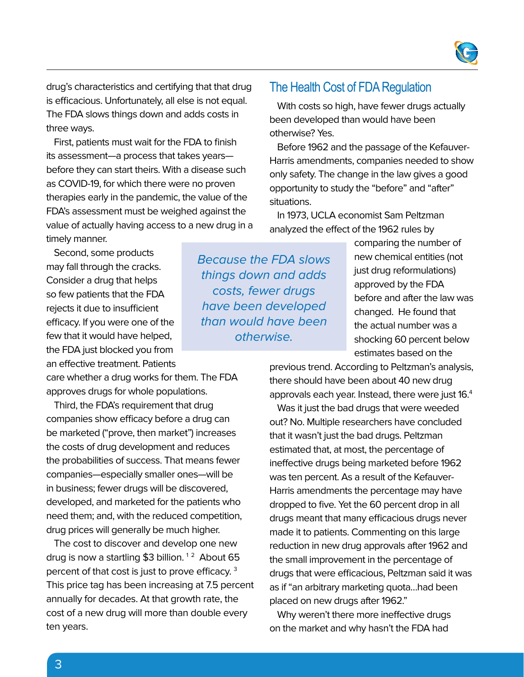

drug's characteristics and certifying that that drug is efficacious. Unfortunately, all else is not equal. The FDA slows things down and adds costs in three ways.

First, patients must wait for the FDA to finish its assessment—a process that takes years before they can start theirs. With a disease such as COVID-19, for which there were no proven therapies early in the pandemic, the value of the FDA's assessment must be weighed against the value of actually having access to a new drug in a timely manner.

Second, some products may fall through the cracks. Consider a drug that helps so few patients that the FDA rejects it due to insufficient efficacy. If you were one of the few that it would have helped, the FDA just blocked you from an effective treatment. Patients

care whether a drug works for them. The FDA approves drugs for whole populations.

Third, the FDA's requirement that drug companies show efficacy before a drug can be marketed ("prove, then market") increases the costs of drug development and reduces the probabilities of success. That means fewer companies—especially smaller ones—will be in business; fewer drugs will be discovered, developed, and marketed for the patients who need them; and, with the reduced competition, drug prices will generally be much higher.

The cost to discover and develop one new drug is now a startling \$3 billion.<sup>12</sup> About 65 percent of that cost is just to prove efficacy. 3 This price tag has been increasing at 7.5 percent annually for decades. At that growth rate, the cost of a new drug will more than double every ten years.

Because the FDA slows things down and adds costs, fewer drugs have been developed than would have been otherwise.

# The Health Cost of FDA Regulation

With costs so high, have fewer drugs actually been developed than would have been otherwise? Yes.

Before 1962 and the passage of the Kefauver-Harris amendments, companies needed to show only safety. The change in the law gives a good opportunity to study the "before" and "after" situations.

In 1973, UCLA economist Sam Peltzman analyzed the effect of the 1962 rules by

> comparing the number of new chemical entities (not just drug reformulations) approved by the FDA before and after the law was changed. He found that the actual number was a shocking 60 percent below estimates based on the

previous trend. According to Peltzman's analysis, there should have been about 40 new drug approvals each year. Instead, there were just 16.4

Was it just the bad drugs that were weeded out? No. Multiple researchers have concluded that it wasn't just the bad drugs. Peltzman estimated that, at most, the percentage of ineffective drugs being marketed before 1962 was ten percent. As a result of the Kefauver-Harris amendments the percentage may have dropped to five. Yet the 60 percent drop in all drugs meant that many efficacious drugs never made it to patients. Commenting on this large reduction in new drug approvals after 1962 and the small improvement in the percentage of drugs that were efficacious, Peltzman said it was as if "an arbitrary marketing quota…had been placed on new drugs after 1962."

Why weren't there more ineffective drugs on the market and why hasn't the FDA had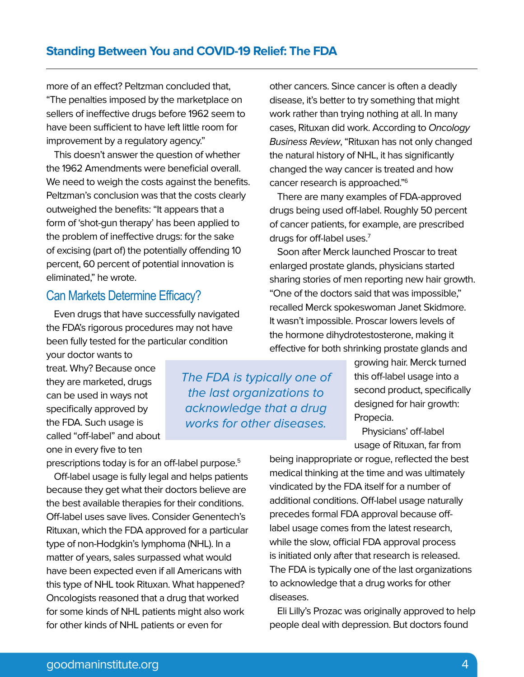more of an effect? Peltzman concluded that, "The penalties imposed by the marketplace on sellers of ineffective drugs before 1962 seem to have been sufficient to have left little room for improvement by a regulatory agency."

This doesn't answer the question of whether the 1962 Amendments were beneficial overall. We need to weigh the costs against the benefits. Peltzman's conclusion was that the costs clearly outweighed the benefits: "It appears that a form of 'shot-gun therapy' has been applied to the problem of ineffective drugs: for the sake of excising (part of) the potentially offending 10 percent, 60 percent of potential innovation is eliminated," he wrote.

# Can Markets Determine Efficacy?

Even drugs that have successfully navigated the FDA's rigorous procedures may not have been fully tested for the particular condition

your doctor wants to treat. Why? Because once they are marketed, drugs can be used in ways not specifically approved by the FDA. Such usage is called "off-label" and about one in every five to ten

prescriptions today is for an off-label purpose.<sup>5</sup>

Off-label usage is fully legal and helps patients because they get what their doctors believe are the best available therapies for their conditions. Off-label uses save lives. Consider Genentech's Rituxan, which the FDA approved for a particular type of non-Hodgkin's lymphoma (NHL). In a matter of years, sales surpassed what would have been expected even if all Americans with this type of NHL took Rituxan. What happened? Oncologists reasoned that a drug that worked for some kinds of NHL patients might also work for other kinds of NHL patients or even for

other cancers. Since cancer is often a deadly disease, it's better to try something that might work rather than trying nothing at all. In many cases, Rituxan did work. According to Oncology Business Review, "Rituxan has not only changed the natural history of NHL, it has significantly changed the way cancer is treated and how cancer research is approached."6

There are many examples of FDA-approved drugs being used off-label. Roughly 50 percent of cancer patients, for example, are prescribed drugs for off-label uses.<sup>7</sup>

Soon after Merck launched Proscar to treat enlarged prostate glands, physicians started sharing stories of men reporting new hair growth. "One of the doctors said that was impossible," recalled Merck spokeswoman Janet Skidmore. It wasn't impossible. Proscar lowers levels of the hormone dihydrotestosterone, making it effective for both shrinking prostate glands and

The FDA is typically one of the last organizations to acknowledge that a drug works for other diseases.

growing hair. Merck turned this off-label usage into a second product, specifically designed for hair growth: Propecia.

Physicians' off-label usage of Rituxan, far from

being inappropriate or rogue, reflected the best medical thinking at the time and was ultimately vindicated by the FDA itself for a number of additional conditions. Off-label usage naturally precedes formal FDA approval because offlabel usage comes from the latest research, while the slow, official FDA approval process is initiated only after that research is released. The FDA is typically one of the last organizations to acknowledge that a drug works for other diseases.

Eli Lilly's Prozac was originally approved to help people deal with depression. But doctors found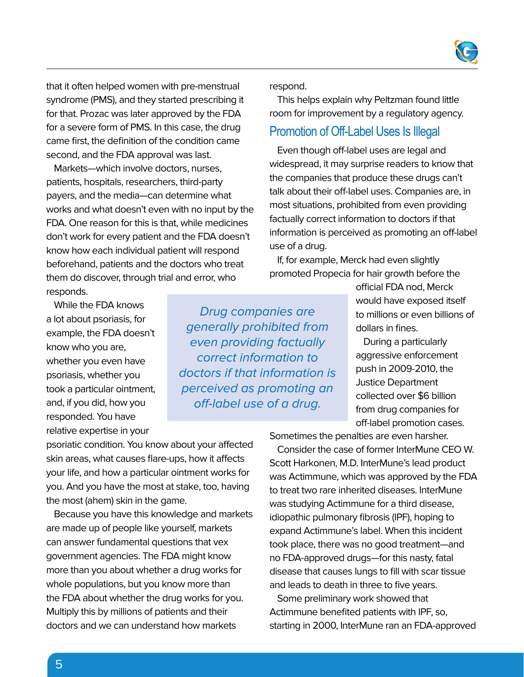

that it often helped women with pre-menstrual syndrome (PMS), and they started prescribing it for that. Prozac was later approved by the FDA for a severe form of PMS. In this case, the drug came first, the definition of the condition came second, and the FDA approval was last.

Markets—which involve doctors, nurses, patients, hospitals, researchers, third-party payers, and the media—can determine what works and what doesn't even with no input by the FDA. One reason for this is that, while medicines don't work for every patient and the FDA doesn't know how each individual patient will respond beforehand, patients and the doctors who treat them do discover, through trial and error, who responds.

While the FDA knows a lot about psoriasis, for example, the FDA doesn't know who you are, whether you even have psoriasis, whether you took a particular ointment, and, if you did, how you responded. You have relative expertise in your

psoriatic condition. You know about your affected skin areas, what causes flare-ups, how it affects your life, and how a particular ointment works for you. And you have the most at stake, too, having the most (ahem) skin in the game.

Because you have this knowledge and markets are made up of people like yourself, markets can answer fundamental questions that vex government agencies. The FDA might know more than you about whether a drug works for whole populations, but you know more than the FDA about whether the drug works for you. Multiply this by millions of patients and their doctors and we can understand how markets

Drug companies are generally prohibited from even providing factually correct information to doctors if that information is perceived as promoting an off-label use of a drug.

#### respond.

This helps explain why Peltzman found little room for improvement by a regulatory agency.

### Promotion of Off-Label Uses Is Illegal

Even though off-label uses are legal and widespread, it may surprise readers to know that the companies that produce these drugs can't talk about their off-label uses. Companies are, in most situations, prohibited from even providing factually correct information to doctors if that information is perceived as promoting an off-label use of a drug.

If, for example, Merck had even slightly promoted Propecia for hair growth before the

> official FDA nod, Merck would have exposed itself to millions or even billions of dollars in fines.

During a particularly aggressive enforcement push in 2009-2010, the Justice Department collected over \$6 billion from drug companies for off-label promotion cases.

Sometimes the penalties are even harsher.

Consider the case of former InterMune CEO W. Scott Harkonen, M.D. InterMune's lead product was Actimmune, which was approved by the FDA to treat two rare inherited diseases. InterMune was studying Actimmune for a third disease, idiopathic pulmonary fibrosis (IPF), hoping to expand Actimmune's label. When this incident took place, there was no good treatment—and no FDA-approved drugs—for this nasty, fatal disease that causes lungs to fill with scar tissue and leads to death in three to five years.

Some preliminary work showed that Actimmune benefited patients with IPF, so, starting in 2000, InterMune ran an FDA-approved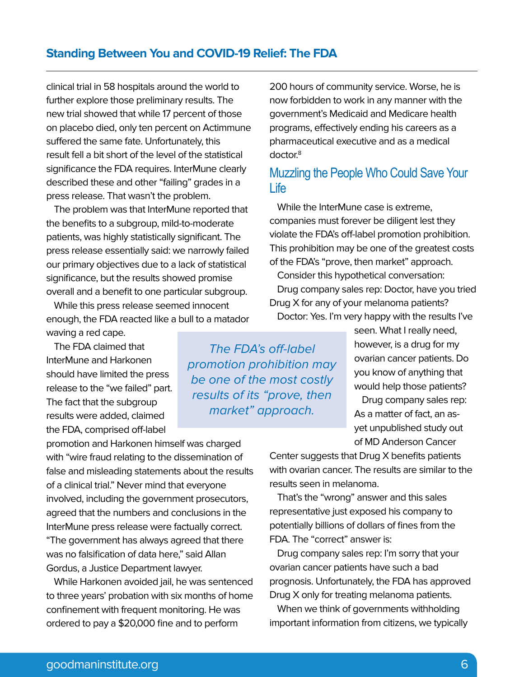## **Standing Between You and COVID-19 Relief: The FDA**

clinical trial in 58 hospitals around the world to further explore those preliminary results. The new trial showed that while 17 percent of those on placebo died, only ten percent on Actimmune suffered the same fate. Unfortunately, this result fell a bit short of the level of the statistical significance the FDA requires. InterMune clearly described these and other "failing" grades in a press release. That wasn't the problem.

The problem was that InterMune reported that the benefits to a subgroup, mild-to-moderate patients, was highly statistically significant. The press release essentially said: we narrowly failed our primary objectives due to a lack of statistical significance, but the results showed promise overall and a benefit to one particular subgroup.

While this press release seemed innocent enough, the FDA reacted like a bull to a matador waving a red cape.

The FDA claimed that InterMune and Harkonen should have limited the press release to the "we failed" part. The fact that the subgroup results were added, claimed the FDA, comprised off-label

promotion and Harkonen himself was charged with "wire fraud relating to the dissemination of false and misleading statements about the results of a clinical trial." Never mind that everyone involved, including the government prosecutors, agreed that the numbers and conclusions in the InterMune press release were factually correct. "The government has always agreed that there was no falsification of data here," said Allan Gordus, a Justice Department lawyer.

While Harkonen avoided jail, he was sentenced to three years' probation with six months of home confinement with frequent monitoring. He was ordered to pay a \$20,000 fine and to perform

The FDA's off-label promotion prohibition may be one of the most costly results of its "prove, then market" approach.

200 hours of community service. Worse, he is now forbidden to work in any manner with the government's Medicaid and Medicare health programs, effectively ending his careers as a pharmaceutical executive and as a medical doctor.<sup>8</sup>

# Muzzling the People Who Could Save Your Life

While the InterMune case is extreme, companies must forever be diligent lest they violate the FDA's off-label promotion prohibition. This prohibition may be one of the greatest costs of the FDA's "prove, then market" approach.

Consider this hypothetical conversation: Drug company sales rep: Doctor, have you tried Drug X for any of your melanoma patients? Doctor: Yes. I'm very happy with the results I've

> seen. What I really need, however, is a drug for my ovarian cancer patients. Do you know of anything that would help those patients?

Drug company sales rep: As a matter of fact, an asyet unpublished study out of MD Anderson Cancer

Center suggests that Drug X benefits patients with ovarian cancer. The results are similar to the results seen in melanoma.

That's the "wrong" answer and this sales representative just exposed his company to potentially billions of dollars of fines from the FDA. The "correct" answer is:

Drug company sales rep: I'm sorry that your ovarian cancer patients have such a bad prognosis. Unfortunately, the FDA has approved Drug X only for treating melanoma patients.

When we think of governments withholding important information from citizens, we typically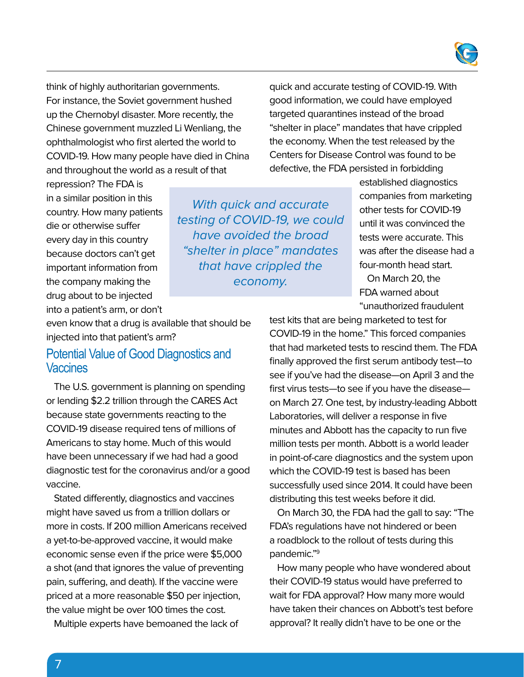

think of highly authoritarian governments. For instance, the Soviet government hushed up the Chernobyl disaster. More recently, the Chinese government muzzled Li Wenliang, the ophthalmologist who first alerted the world to COVID-19. How many people have died in China and throughout the world as a result of that

quick and accurate testing of COVID-19. With good information, we could have employed targeted quarantines instead of the broad "shelter in place" mandates that have crippled the economy. When the test released by the Centers for Disease Control was found to be defective, the FDA persisted in forbidding

repression? The FDA is in a similar position in this country. How many patients die or otherwise suffer every day in this country because doctors can't get important information from the company making the drug about to be injected into a patient's arm, or don't

With quick and accurate testing of COVID-19, we could have avoided the broad "shelter in place" mandates that have crippled the economy.

established diagnostics companies from marketing other tests for COVID-19 until it was convinced the tests were accurate. This was after the disease had a four-month head start.

On March 20, the FDA warned about "unauthorized fraudulent

even know that a drug is available that should be injected into that patient's arm?

### Potential Value of Good Diagnostics and **Vaccines**

The U.S. government is planning on spending or lending \$2.2 trillion through the CARES Act because state governments reacting to the COVID-19 disease required tens of millions of Americans to stay home. Much of this would have been unnecessary if we had had a good diagnostic test for the coronavirus and/or a good vaccine.

Stated differently, diagnostics and vaccines might have saved us from a trillion dollars or more in costs. If 200 million Americans received a yet-to-be-approved vaccine, it would make economic sense even if the price were \$5,000 a shot (and that ignores the value of preventing pain, suffering, and death). If the vaccine were priced at a more reasonable \$50 per injection, the value might be over 100 times the cost.

Multiple experts have bemoaned the lack of

test kits that are being marketed to test for COVID-19 in the home." This forced companies that had marketed tests to rescind them. The FDA finally approved the first serum antibody test—to see if you've had the disease—on April 3 and the first virus tests—to see if you have the disease on March 27. One test, by industry-leading Abbott Laboratories, will deliver a response in five minutes and Abbott has the capacity to run five million tests per month. Abbott is a world leader in point-of-care diagnostics and the system upon which the COVID-19 test is based has been successfully used since 2014. It could have been distributing this test weeks before it did.

On March 30, the FDA had the gall to say: "The FDA's regulations have not hindered or been a roadblock to the rollout of tests during this pandemic."9

How many people who have wondered about their COVID-19 status would have preferred to wait for FDA approval? How many more would have taken their chances on Abbott's test before approval? It really didn't have to be one or the